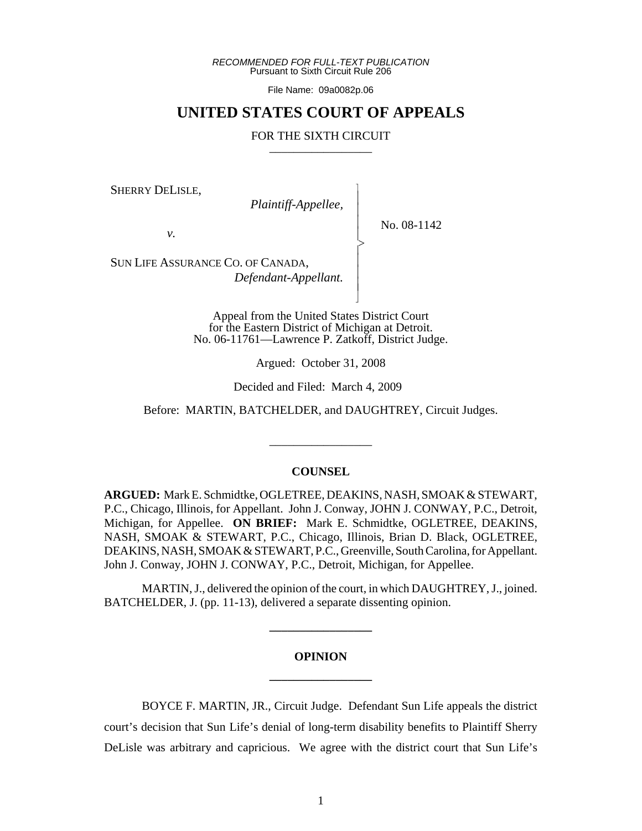*RECOMMENDED FOR FULL-TEXT PUBLICATION* Pursuant to Sixth Circuit Rule 206

File Name: 09a0082p.06

## **UNITED STATES COURT OF APPEALS**

#### FOR THE SIXTH CIRCUIT

 $\overline{\phantom{a}}$ - - - > , - - - N

SHERRY DELISLE,

*Plaintiff-Appellee,*

No. 08-1142

*v.*

SUN LIFE ASSURANCE CO. OF CANADA, *Defendant-Appellant.*

> Appeal from the United States District Court for the Eastern District of Michigan at Detroit. No. 06-11761—Lawrence P. Zatkoff, District Judge.

> > Argued: October 31, 2008

Decided and Filed: March 4, 2009

Before: MARTIN, BATCHELDER, and DAUGHTREY, Circuit Judges.

\_\_\_\_\_\_\_\_\_\_\_\_\_\_\_\_\_

#### **COUNSEL**

**ARGUED:** Mark E. Schmidtke, OGLETREE, DEAKINS, NASH, SMOAK & STEWART, P.C., Chicago, Illinois, for Appellant. John J. Conway, JOHN J. CONWAY, P.C., Detroit, Michigan, for Appellee. **ON BRIEF:** Mark E. Schmidtke, OGLETREE, DEAKINS, NASH, SMOAK & STEWART, P.C., Chicago, Illinois, Brian D. Black, OGLETREE, DEAKINS, NASH, SMOAK & STEWART, P.C., Greenville, South Carolina, for Appellant. John J. Conway, JOHN J. CONWAY, P.C., Detroit, Michigan, for Appellee.

MARTIN, J., delivered the opinion of the court, in which DAUGHTREY, J., joined. BATCHELDER, J. (pp. 11-13), delivered a separate dissenting opinion.

**\_\_\_\_\_\_\_\_\_\_\_\_\_\_\_\_\_**

# **OPINION \_\_\_\_\_\_\_\_\_\_\_\_\_\_\_\_\_**

BOYCE F. MARTIN, JR., Circuit Judge. Defendant Sun Life appeals the district court's decision that Sun Life's denial of long-term disability benefits to Plaintiff Sherry DeLisle was arbitrary and capricious. We agree with the district court that Sun Life's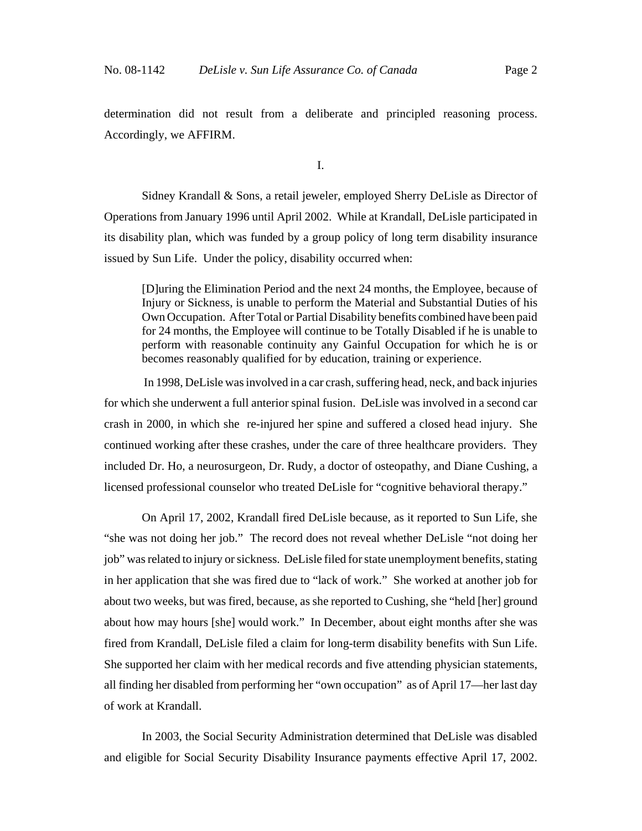determination did not result from a deliberate and principled reasoning process. Accordingly, we AFFIRM.

I.

Sidney Krandall & Sons, a retail jeweler, employed Sherry DeLisle as Director of Operations from January 1996 until April 2002. While at Krandall, DeLisle participated in its disability plan, which was funded by a group policy of long term disability insurance issued by Sun Life. Under the policy, disability occurred when:

[D]uring the Elimination Period and the next 24 months, the Employee, because of Injury or Sickness, is unable to perform the Material and Substantial Duties of his Own Occupation. After Total or Partial Disability benefits combined have been paid for 24 months, the Employee will continue to be Totally Disabled if he is unable to perform with reasonable continuity any Gainful Occupation for which he is or becomes reasonably qualified for by education, training or experience.

 In 1998, DeLisle was involved in a car crash, suffering head, neck, and back injuries for which she underwent a full anterior spinal fusion. DeLisle was involved in a second car crash in 2000, in which she re-injured her spine and suffered a closed head injury. She continued working after these crashes, under the care of three healthcare providers. They included Dr. Ho, a neurosurgeon, Dr. Rudy, a doctor of osteopathy, and Diane Cushing, a licensed professional counselor who treated DeLisle for "cognitive behavioral therapy."

On April 17, 2002, Krandall fired DeLisle because, as it reported to Sun Life, she "she was not doing her job." The record does not reveal whether DeLisle "not doing her job" was related to injury or sickness. DeLisle filed for state unemployment benefits, stating in her application that she was fired due to "lack of work." She worked at another job for about two weeks, but was fired, because, as she reported to Cushing, she "held [her] ground about how may hours [she] would work." In December, about eight months after she was fired from Krandall, DeLisle filed a claim for long-term disability benefits with Sun Life. She supported her claim with her medical records and five attending physician statements, all finding her disabled from performing her "own occupation" as of April 17—her last day of work at Krandall.

In 2003, the Social Security Administration determined that DeLisle was disabled and eligible for Social Security Disability Insurance payments effective April 17, 2002.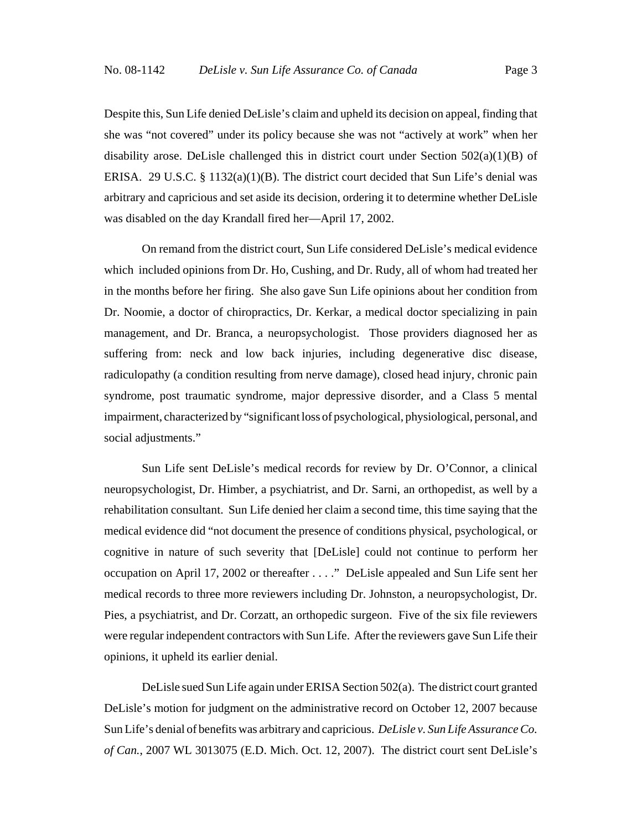Despite this, Sun Life denied DeLisle's claim and upheld its decision on appeal, finding that she was "not covered" under its policy because she was not "actively at work" when her disability arose. DeLisle challenged this in district court under Section  $502(a)(1)(B)$  of ERISA. 29 U.S.C. § 1132(a)(1)(B). The district court decided that Sun Life's denial was arbitrary and capricious and set aside its decision, ordering it to determine whether DeLisle was disabled on the day Krandall fired her—April 17, 2002.

On remand from the district court, Sun Life considered DeLisle's medical evidence which included opinions from Dr. Ho, Cushing, and Dr. Rudy, all of whom had treated her in the months before her firing. She also gave Sun Life opinions about her condition from Dr. Noomie, a doctor of chiropractics, Dr. Kerkar, a medical doctor specializing in pain management, and Dr. Branca, a neuropsychologist. Those providers diagnosed her as suffering from: neck and low back injuries, including degenerative disc disease, radiculopathy (a condition resulting from nerve damage), closed head injury, chronic pain syndrome, post traumatic syndrome, major depressive disorder, and a Class 5 mental impairment, characterized by "significant loss of psychological, physiological, personal, and social adjustments."

Sun Life sent DeLisle's medical records for review by Dr. O'Connor, a clinical neuropsychologist, Dr. Himber, a psychiatrist, and Dr. Sarni, an orthopedist, as well by a rehabilitation consultant. Sun Life denied her claim a second time, this time saying that the medical evidence did "not document the presence of conditions physical, psychological, or cognitive in nature of such severity that [DeLisle] could not continue to perform her occupation on April 17, 2002 or thereafter . . . ." DeLisle appealed and Sun Life sent her medical records to three more reviewers including Dr. Johnston, a neuropsychologist, Dr. Pies, a psychiatrist, and Dr. Corzatt, an orthopedic surgeon. Five of the six file reviewers were regular independent contractors with Sun Life. After the reviewers gave Sun Life their opinions, it upheld its earlier denial.

DeLisle sued Sun Life again under ERISA Section 502(a). The district court granted DeLisle's motion for judgment on the administrative record on October 12, 2007 because Sun Life's denial of benefits was arbitrary and capricious. *DeLisle v. Sun Life Assurance Co. of Can.*, 2007 WL 3013075 (E.D. Mich. Oct. 12, 2007). The district court sent DeLisle's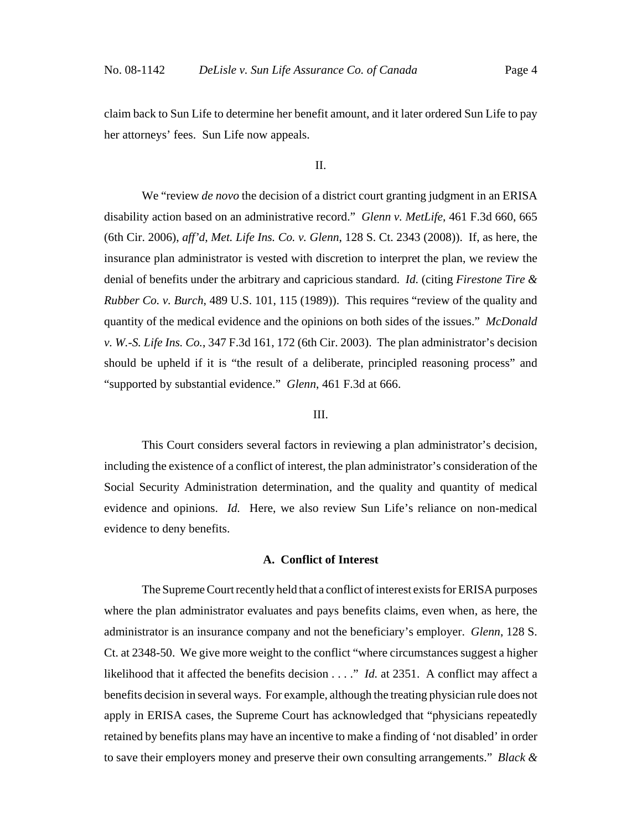claim back to Sun Life to determine her benefit amount, and it later ordered Sun Life to pay her attorneys' fees. Sun Life now appeals.

II.

We "review *de novo* the decision of a district court granting judgment in an ERISA disability action based on an administrative record." *Glenn v. MetLife*, 461 F.3d 660, 665 (6th Cir. 2006), *aff'd*, *Met. Life Ins. Co. v. Glenn*, 128 S. Ct. 2343 (2008)). If, as here, the insurance plan administrator is vested with discretion to interpret the plan, we review the denial of benefits under the arbitrary and capricious standard. *Id.* (citing *Firestone Tire & Rubber Co. v. Burch*, 489 U.S. 101, 115 (1989)). This requires "review of the quality and quantity of the medical evidence and the opinions on both sides of the issues." *McDonald v. W.-S. Life Ins. Co.*, 347 F.3d 161, 172 (6th Cir. 2003). The plan administrator's decision should be upheld if it is "the result of a deliberate, principled reasoning process" and "supported by substantial evidence." *Glenn*, 461 F.3d at 666.

## III.

This Court considers several factors in reviewing a plan administrator's decision, including the existence of a conflict of interest, the plan administrator's consideration of the Social Security Administration determination, and the quality and quantity of medical evidence and opinions. *Id.* Here, we also review Sun Life's reliance on non-medical evidence to deny benefits.

## **A. Conflict of Interest**

The Supreme Court recently held that a conflict of interest exists for ERISA purposes where the plan administrator evaluates and pays benefits claims, even when, as here, the administrator is an insurance company and not the beneficiary's employer. *Glenn*, 128 S. Ct. at 2348-50. We give more weight to the conflict "where circumstances suggest a higher likelihood that it affected the benefits decision . . . ." *Id.* at 2351. A conflict may affect a benefits decision in several ways. For example, although the treating physician rule does not apply in ERISA cases, the Supreme Court has acknowledged that "physicians repeatedly retained by benefits plans may have an incentive to make a finding of 'not disabled' in order to save their employers money and preserve their own consulting arrangements." *Black &*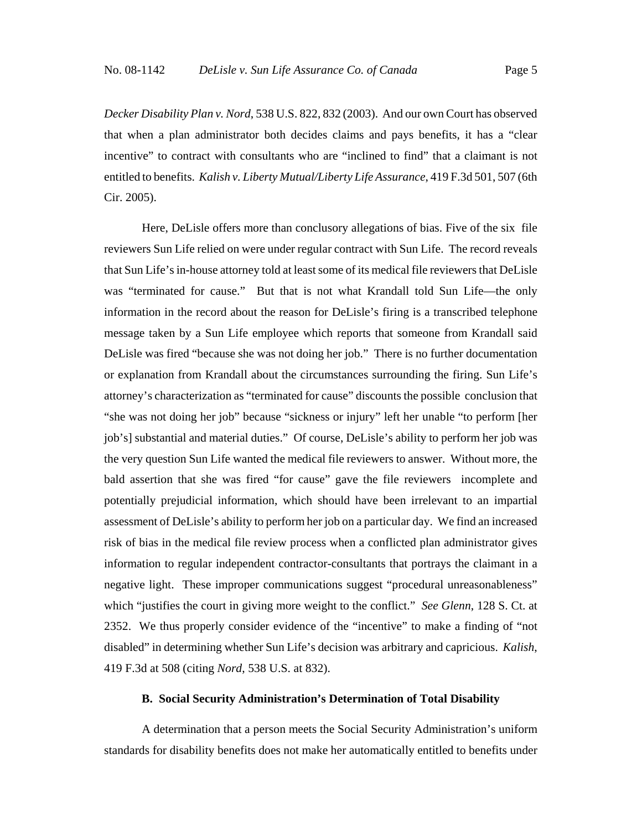*Decker Disability Plan v. Nord*, 538 U.S. 822, 832 (2003). And our own Court has observed that when a plan administrator both decides claims and pays benefits, it has a "clear incentive" to contract with consultants who are "inclined to find" that a claimant is not entitled to benefits. *Kalish v. Liberty Mutual/Liberty Life Assurance*, 419 F.3d 501, 507 (6th Cir. 2005).

Here, DeLisle offers more than conclusory allegations of bias. Five of the six file reviewers Sun Life relied on were under regular contract with Sun Life. The record reveals that Sun Life's in-house attorney told at least some of its medical file reviewers that DeLisle was "terminated for cause." But that is not what Krandall told Sun Life—the only information in the record about the reason for DeLisle's firing is a transcribed telephone message taken by a Sun Life employee which reports that someone from Krandall said DeLisle was fired "because she was not doing her job." There is no further documentation or explanation from Krandall about the circumstances surrounding the firing. Sun Life's attorney's characterization as "terminated for cause" discounts the possible conclusion that "she was not doing her job" because "sickness or injury" left her unable "to perform [her job's] substantial and material duties." Of course, DeLisle's ability to perform her job was the very question Sun Life wanted the medical file reviewers to answer. Without more, the bald assertion that she was fired "for cause" gave the file reviewers incomplete and potentially prejudicial information, which should have been irrelevant to an impartial assessment of DeLisle's ability to perform her job on a particular day. We find an increased risk of bias in the medical file review process when a conflicted plan administrator gives information to regular independent contractor-consultants that portrays the claimant in a negative light. These improper communications suggest "procedural unreasonableness" which "justifies the court in giving more weight to the conflict." *See Glenn*, 128 S. Ct. at 2352. We thus properly consider evidence of the "incentive" to make a finding of "not disabled" in determining whether Sun Life's decision was arbitrary and capricious. *Kalish*, 419 F.3d at 508 (citing *Nord*, 538 U.S. at 832).

## **B. Social Security Administration's Determination of Total Disability**

A determination that a person meets the Social Security Administration's uniform standards for disability benefits does not make her automatically entitled to benefits under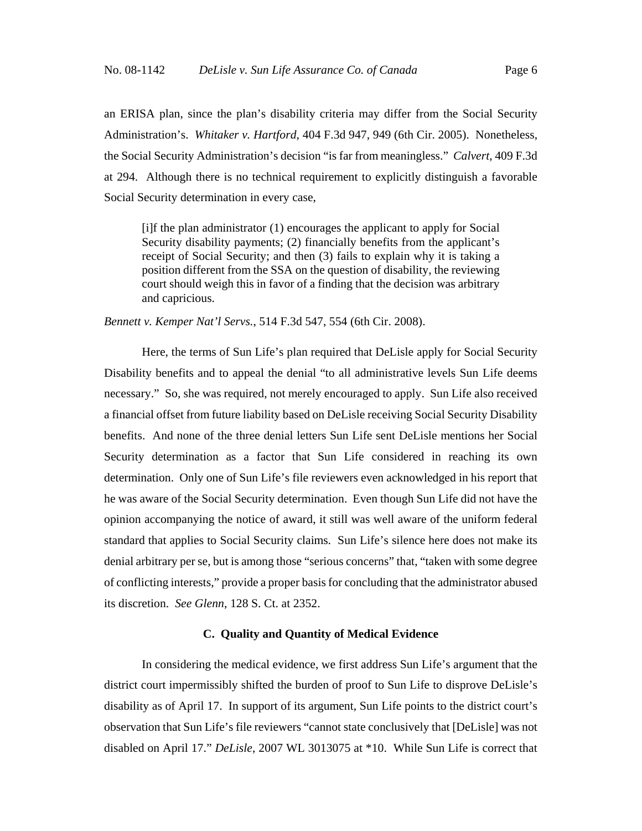an ERISA plan, since the plan's disability criteria may differ from the Social Security Administration's. *Whitaker v. Hartford*, 404 F.3d 947, 949 (6th Cir. 2005). Nonetheless, the Social Security Administration's decision "is far from meaningless." *Calvert*, 409 F.3d at 294. Although there is no technical requirement to explicitly distinguish a favorable Social Security determination in every case,

[i]f the plan administrator (1) encourages the applicant to apply for Social Security disability payments; (2) financially benefits from the applicant's receipt of Social Security; and then (3) fails to explain why it is taking a position different from the SSA on the question of disability, the reviewing court should weigh this in favor of a finding that the decision was arbitrary and capricious.

*Bennett v. Kemper Nat'l Servs.*, 514 F.3d 547, 554 (6th Cir. 2008).

Here, the terms of Sun Life's plan required that DeLisle apply for Social Security Disability benefits and to appeal the denial "to all administrative levels Sun Life deems necessary." So, she was required, not merely encouraged to apply. Sun Life also received a financial offset from future liability based on DeLisle receiving Social Security Disability benefits. And none of the three denial letters Sun Life sent DeLisle mentions her Social Security determination as a factor that Sun Life considered in reaching its own determination. Only one of Sun Life's file reviewers even acknowledged in his report that he was aware of the Social Security determination. Even though Sun Life did not have the opinion accompanying the notice of award, it still was well aware of the uniform federal standard that applies to Social Security claims. Sun Life's silence here does not make its denial arbitrary per se, but is among those "serious concerns" that, "taken with some degree of conflicting interests," provide a proper basis for concluding that the administrator abused its discretion. *See Glenn*, 128 S. Ct. at 2352.

#### **C. Quality and Quantity of Medical Evidence**

In considering the medical evidence, we first address Sun Life's argument that the district court impermissibly shifted the burden of proof to Sun Life to disprove DeLisle's disability as of April 17. In support of its argument, Sun Life points to the district court's observation that Sun Life's file reviewers "cannot state conclusively that [DeLisle] was not disabled on April 17." *DeLisle*, 2007 WL 3013075 at \*10. While Sun Life is correct that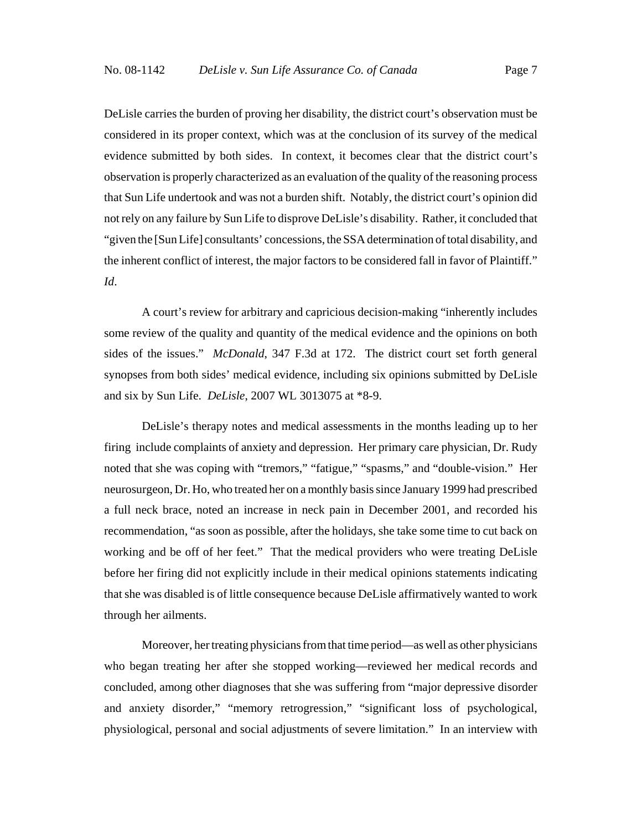DeLisle carries the burden of proving her disability, the district court's observation must be considered in its proper context, which was at the conclusion of its survey of the medical evidence submitted by both sides. In context, it becomes clear that the district court's observation is properly characterized as an evaluation of the quality of the reasoning process that Sun Life undertook and was not a burden shift. Notably, the district court's opinion did not rely on any failure by Sun Life to disprove DeLisle's disability. Rather, it concluded that "given the [Sun Life] consultants' concessions, the SSA determination of total disability, and the inherent conflict of interest, the major factors to be considered fall in favor of Plaintiff." *Id*.

A court's review for arbitrary and capricious decision-making "inherently includes some review of the quality and quantity of the medical evidence and the opinions on both sides of the issues." *McDonald*, 347 F.3d at 172. The district court set forth general synopses from both sides' medical evidence, including six opinions submitted by DeLisle and six by Sun Life. *DeLisle*, 2007 WL 3013075 at \*8-9.

DeLisle's therapy notes and medical assessments in the months leading up to her firing include complaints of anxiety and depression. Her primary care physician, Dr. Rudy noted that she was coping with "tremors," "fatigue," "spasms," and "double-vision." Her neurosurgeon, Dr. Ho, who treated her on a monthly basis since January 1999 had prescribed a full neck brace, noted an increase in neck pain in December 2001, and recorded his recommendation, "as soon as possible, after the holidays, she take some time to cut back on working and be off of her feet." That the medical providers who were treating DeLisle before her firing did not explicitly include in their medical opinions statements indicating that she was disabled is of little consequence because DeLisle affirmatively wanted to work through her ailments.

Moreover, her treating physicians from that time period—as well as other physicians who began treating her after she stopped working—reviewed her medical records and concluded, among other diagnoses that she was suffering from "major depressive disorder and anxiety disorder," "memory retrogression," "significant loss of psychological, physiological, personal and social adjustments of severe limitation." In an interview with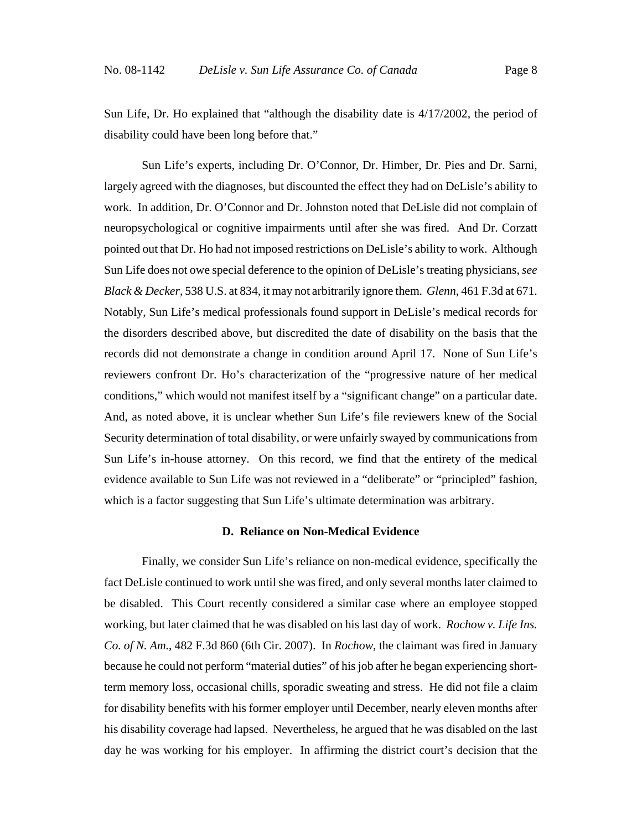Sun Life, Dr. Ho explained that "although the disability date is 4/17/2002, the period of disability could have been long before that."

Sun Life's experts, including Dr. O'Connor, Dr. Himber, Dr. Pies and Dr. Sarni, largely agreed with the diagnoses, but discounted the effect they had on DeLisle's ability to work. In addition, Dr. O'Connor and Dr. Johnston noted that DeLisle did not complain of neuropsychological or cognitive impairments until after she was fired. And Dr. Corzatt pointed out that Dr. Ho had not imposed restrictions on DeLisle's ability to work. Although Sun Life does not owe special deference to the opinion of DeLisle's treating physicians, *see Black & Decker*, 538 U.S. at 834, it may not arbitrarily ignore them. *Glenn*, 461 F.3d at 671. Notably, Sun Life's medical professionals found support in DeLisle's medical records for the disorders described above, but discredited the date of disability on the basis that the records did not demonstrate a change in condition around April 17. None of Sun Life's reviewers confront Dr. Ho's characterization of the "progressive nature of her medical conditions," which would not manifest itself by a "significant change" on a particular date. And, as noted above, it is unclear whether Sun Life's file reviewers knew of the Social Security determination of total disability, or were unfairly swayed by communications from Sun Life's in-house attorney. On this record, we find that the entirety of the medical evidence available to Sun Life was not reviewed in a "deliberate" or "principled" fashion, which is a factor suggesting that Sun Life's ultimate determination was arbitrary.

#### **D. Reliance on Non-Medical Evidence**

Finally, we consider Sun Life's reliance on non-medical evidence, specifically the fact DeLisle continued to work until she was fired, and only several months later claimed to be disabled. This Court recently considered a similar case where an employee stopped working, but later claimed that he was disabled on his last day of work. *Rochow v. Life Ins. Co. of N. Am.*, 482 F.3d 860 (6th Cir. 2007). In *Rochow*, the claimant was fired in January because he could not perform "material duties" of his job after he began experiencing shortterm memory loss, occasional chills, sporadic sweating and stress. He did not file a claim for disability benefits with his former employer until December, nearly eleven months after his disability coverage had lapsed. Nevertheless, he argued that he was disabled on the last day he was working for his employer. In affirming the district court's decision that the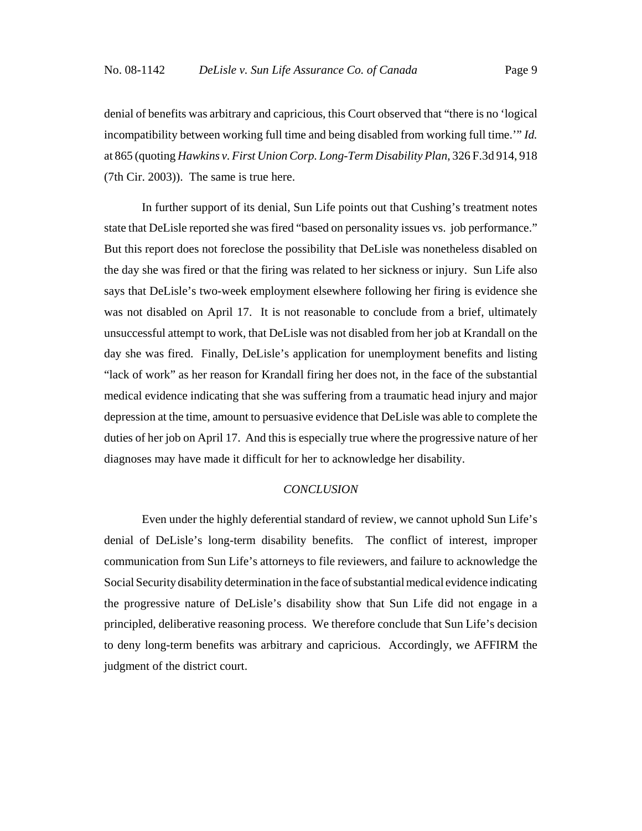denial of benefits was arbitrary and capricious, this Court observed that "there is no 'logical incompatibility between working full time and being disabled from working full time.'" *Id.* at 865 (quoting *Hawkins v. First Union Corp. Long-Term Disability Plan*, 326 F.3d 914, 918 (7th Cir. 2003)). The same is true here.

In further support of its denial, Sun Life points out that Cushing's treatment notes state that DeLisle reported she was fired "based on personality issues vs. job performance." But this report does not foreclose the possibility that DeLisle was nonetheless disabled on the day she was fired or that the firing was related to her sickness or injury. Sun Life also says that DeLisle's two-week employment elsewhere following her firing is evidence she was not disabled on April 17. It is not reasonable to conclude from a brief, ultimately unsuccessful attempt to work, that DeLisle was not disabled from her job at Krandall on the day she was fired. Finally, DeLisle's application for unemployment benefits and listing "lack of work" as her reason for Krandall firing her does not, in the face of the substantial medical evidence indicating that she was suffering from a traumatic head injury and major depression at the time, amount to persuasive evidence that DeLisle was able to complete the duties of her job on April 17. And this is especially true where the progressive nature of her diagnoses may have made it difficult for her to acknowledge her disability.

#### *CONCLUSION*

Even under the highly deferential standard of review, we cannot uphold Sun Life's denial of DeLisle's long-term disability benefits. The conflict of interest, improper communication from Sun Life's attorneys to file reviewers, and failure to acknowledge the Social Security disability determination in the face of substantial medical evidence indicating the progressive nature of DeLisle's disability show that Sun Life did not engage in a principled, deliberative reasoning process. We therefore conclude that Sun Life's decision to deny long-term benefits was arbitrary and capricious. Accordingly, we AFFIRM the judgment of the district court.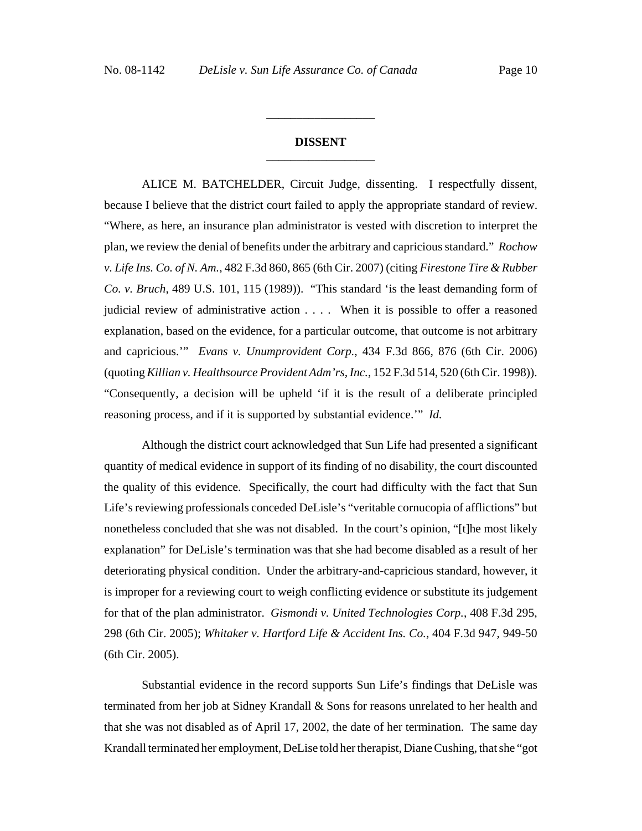## **DISSENT \_\_\_\_\_\_\_\_\_\_\_\_\_\_\_\_\_\_**

**\_\_\_\_\_\_\_\_\_\_\_\_\_\_\_\_\_\_**

ALICE M. BATCHELDER, Circuit Judge, dissenting. I respectfully dissent, because I believe that the district court failed to apply the appropriate standard of review. "Where, as here, an insurance plan administrator is vested with discretion to interpret the plan, we review the denial of benefits under the arbitrary and capricious standard." *Rochow v. Life Ins. Co. of N. Am.*, 482 F.3d 860, 865 (6th Cir. 2007) (citing *Firestone Tire & Rubber Co. v. Bruch*, 489 U.S. 101, 115 (1989)). "This standard 'is the least demanding form of judicial review of administrative action . . . . When it is possible to offer a reasoned explanation, based on the evidence, for a particular outcome, that outcome is not arbitrary and capricious.'" *Evans v. Unumprovident Corp.*, 434 F.3d 866, 876 (6th Cir. 2006) (quoting *Killian v. Healthsource Provident Adm'rs, Inc.*, 152 F.3d 514, 520 (6th Cir. 1998)). "Consequently, a decision will be upheld 'if it is the result of a deliberate principled reasoning process, and if it is supported by substantial evidence.'" *Id.*

Although the district court acknowledged that Sun Life had presented a significant quantity of medical evidence in support of its finding of no disability, the court discounted the quality of this evidence. Specifically, the court had difficulty with the fact that Sun Life's reviewing professionals conceded DeLisle's "veritable cornucopia of afflictions" but nonetheless concluded that she was not disabled. In the court's opinion, "[t]he most likely explanation" for DeLisle's termination was that she had become disabled as a result of her deteriorating physical condition. Under the arbitrary-and-capricious standard, however, it is improper for a reviewing court to weigh conflicting evidence or substitute its judgement for that of the plan administrator. *Gismondi v. United Technologies Corp.*, 408 F.3d 295, 298 (6th Cir. 2005); *Whitaker v. Hartford Life & Accident Ins. Co.*, 404 F.3d 947, 949-50 (6th Cir. 2005).

Substantial evidence in the record supports Sun Life's findings that DeLisle was terminated from her job at Sidney Krandall & Sons for reasons unrelated to her health and that she was not disabled as of April 17, 2002, the date of her termination. The same day Krandall terminated her employment, DeLise told her therapist, Diane Cushing, that she "got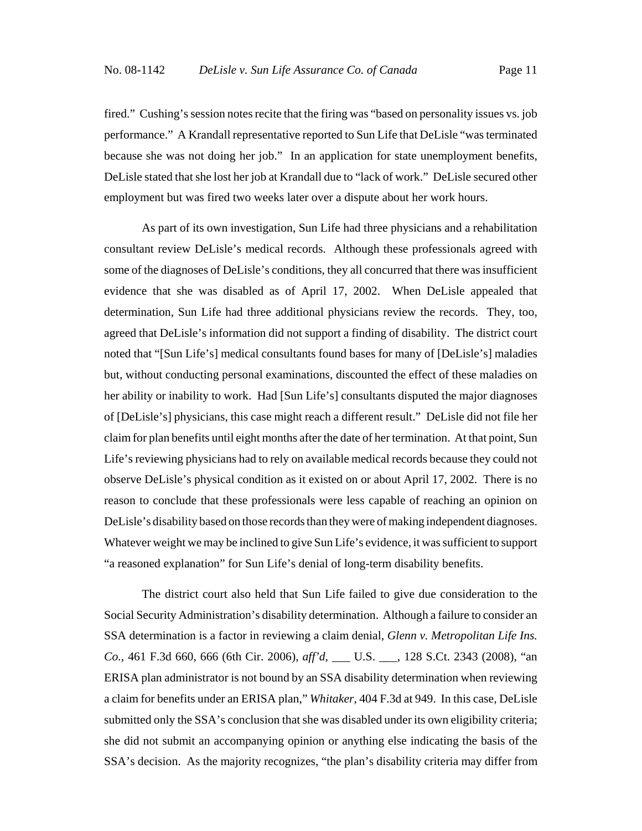fired." Cushing's session notes recite that the firing was "based on personality issues vs. job performance." A Krandall representative reported to Sun Life that DeLisle "was terminated because she was not doing her job." In an application for state unemployment benefits, DeLisle stated that she lost her job at Krandall due to "lack of work." DeLisle secured other employment but was fired two weeks later over a dispute about her work hours.

As part of its own investigation, Sun Life had three physicians and a rehabilitation consultant review DeLisle's medical records. Although these professionals agreed with some of the diagnoses of DeLisle's conditions, they all concurred that there was insufficient evidence that she was disabled as of April 17, 2002. When DeLisle appealed that determination, Sun Life had three additional physicians review the records. They, too, agreed that DeLisle's information did not support a finding of disability. The district court noted that "[Sun Life's] medical consultants found bases for many of [DeLisle's] maladies but, without conducting personal examinations, discounted the effect of these maladies on her ability or inability to work. Had [Sun Life's] consultants disputed the major diagnoses of [DeLisle's] physicians, this case might reach a different result." DeLisle did not file her claim for plan benefits until eight months after the date of her termination. At that point, Sun Life's reviewing physicians had to rely on available medical records because they could not observe DeLisle's physical condition as it existed on or about April 17, 2002. There is no reason to conclude that these professionals were less capable of reaching an opinion on DeLisle's disability based on those records than they were of making independent diagnoses. Whatever weight we may be inclined to give Sun Life's evidence, it was sufficient to support "a reasoned explanation" for Sun Life's denial of long-term disability benefits.

The district court also held that Sun Life failed to give due consideration to the Social Security Administration's disability determination. Although a failure to consider an SSA determination is a factor in reviewing a claim denial, *Glenn v. Metropolitan Life Ins. Co.*, 461 F.3d 660, 666 (6th Cir. 2006), *aff'd*, \_\_\_ U.S. \_\_\_, 128 S.Ct. 2343 (2008), "an ERISA plan administrator is not bound by an SSA disability determination when reviewing a claim for benefits under an ERISA plan," *Whitaker*, 404 F.3d at 949. In this case, DeLisle submitted only the SSA's conclusion that she was disabled under its own eligibility criteria; she did not submit an accompanying opinion or anything else indicating the basis of the SSA's decision. As the majority recognizes, "the plan's disability criteria may differ from